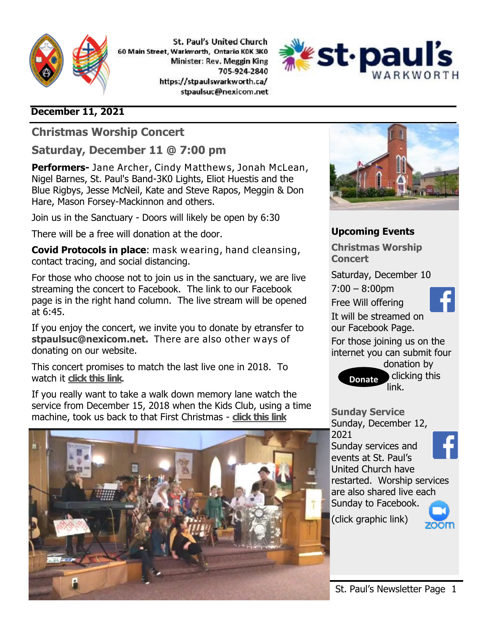

St. Paul's United Church 60 Main Street, Warkworth, Ontario KOK 3KO Minister: Rev. Meggin King 705-924-2840 https://stpaulswarkworth.ca/ stpaulsuc@nexicom.net



## **December 11, 2021**

**Christmas Worship Concert** 

**Saturday, December 11 @ 7:00 pm**

**Performers-** Jane Archer, Cindy Matthews, Jonah McLean, Nigel Barnes, St. Paul's Band-3K0 Lights, Eliot Huestis and the Blue Rigbys, Jesse McNeil, Kate and Steve Rapos, Meggin & Don Hare, Mason Forsey-Mackinnon and others.

Join us in the Sanctuary - Doors will likely be open by 6:30

There will be a free will donation at the door.

**Covid Protocols in place**: mask wearing, hand cleansing, contact tracing, and social distancing.

For those who choose not to join us in the sanctuary, we are live streaming the concert to Facebook. The link to our Facebook page is in the right hand column. The live stream will be opened at 6:45.

If you enjoy the concert, we invite you to donate by etransfer to **stpaulsuc@nexicom.net.** There are also other ways of donating on our website.

This concert promises to match the last live one in 2018. To watch it **[click this link](https://www.facebook.com/stpaulsunitedchurchwarkworth/videos/449625859316387)**.

If you really want to take a walk down memory lane watch the service from December 15, 2018 when the Kids Club, using a time machine, took us back to that First Christmas - **[click this link](https://www.facebook.com/stpaulsunitedchurchwarkworth/videos/693614227832090)**





**Upcoming Events**

**Christmas Worship Concert** 

Saturday, December 10

7:00 – 8:00pm

Free Will offering



It will be streamed on our Facebook Page.

For those joining us on the internet you can submit four



donation by clicking this link.

**Sunday Service** Sunday, December 12, 2021 Sunday services and events at St. Paul's United Church have restarted. Worship services are also shared live each Sunday to Facebook.

(click graphic link)

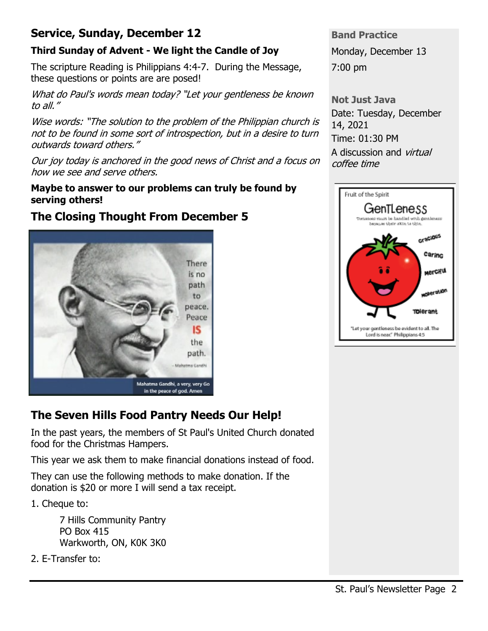## **Service, Sunday, December 12**

## **Third Sunday of Advent - We light the Candle of Joy**

The scripture Reading is Philippians 4:4-7. During the Message, these questions or points are are posed!

What do Paul's words mean today? "Let your gentleness be known to all."

Wise words: "The solution to the problem of the Philippian church is not to be found in some sort of introspection, but in a desire to turn outwards toward others."

Our joy today is anchored in the good news of Christ and a focus on how we see and serve others.

#### **Maybe to answer to our problems can truly be found by serving others!**

## **The Closing Thought From December 5**



**Band Practice** Monday, December 13

7:00 pm

**Not Just Java** Date: Tuesday, December 14, 2021 Time: 01:30 PM A discussion and *virtual* coffee time



# **The Seven Hills Food Pantry Needs Our Help!**

In the past years, the members of St Paul's United Church donated food for the Christmas Hampers.

This year we ask them to make financial donations instead of food.

They can use the following methods to make donation. If the donation is \$20 or more I will send a tax receipt.

1. Cheque to:

7 Hills Community Pantry PO Box 415 Warkworth, ON, K0K 3K0

2. E-Transfer to: